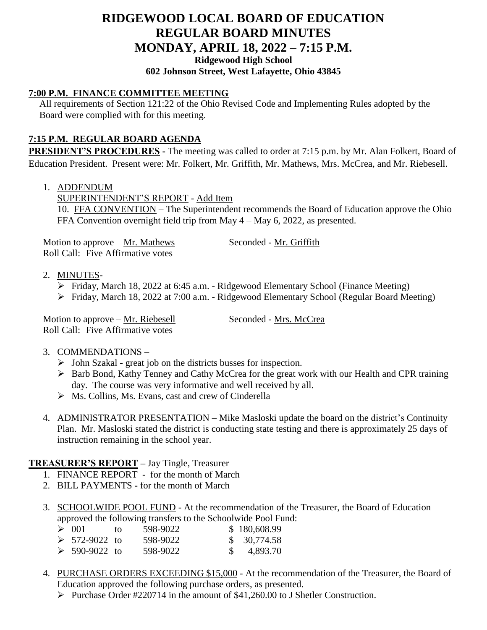# **RIDGEWOOD LOCAL BOARD OF EDUCATION REGULAR BOARD MINUTES MONDAY, APRIL 18, 2022 – 7:15 P.M. Ridgewood High School**

## **602 Johnson Street, West Lafayette, Ohio 43845**

#### **7:00 P.M. FINANCE COMMITTEE MEETING**

All requirements of Section 121:22 of the Ohio Revised Code and Implementing Rules adopted by the Board were complied with for this meeting.

### **7:15 P.M. REGULAR BOARD AGENDA**

**PRESIDENT'S PROCEDURES -** The meeting was called to order at 7:15 p.m. by Mr. Alan Folkert, Board of Education President. Present were: Mr. Folkert, Mr. Griffith, Mr. Mathews, Mrs. McCrea, and Mr. Riebesell.

1. ADDENDUM –

SUPERINTENDENT'S REPORT - Add Item

10. FFA CONVENTION – The Superintendent recommends the Board of Education approve the Ohio FFA Convention overnight field trip from May 4 – May 6, 2022, as presented.

Motion to approve – Mr. Mathews Seconded - Mr. Griffith Roll Call: Five Affirmative votes

- 2. MINUTES-
	- Friday, March 18, 2022 at 6:45 a.m. Ridgewood Elementary School (Finance Meeting)
	- Friday, March 18, 2022 at 7:00 a.m. Ridgewood Elementary School (Regular Board Meeting)

Motion to approve – Mr. Riebesell Seconded - Mrs. McCrea Roll Call: Five Affirmative votes

#### 3. COMMENDATIONS –

- $\triangleright$  John Szakal great job on the districts busses for inspection.
- Barb Bond, Kathy Tenney and Cathy McCrea for the great work with our Health and CPR training day. The course was very informative and well received by all.
- $\triangleright$  Ms. Collins, Ms. Evans, cast and crew of Cinderella
- 4. ADMINISTRATOR PRESENTATION Mike Masloski update the board on the district's Continuity Plan. Mr. Masloski stated the district is conducting state testing and there is approximately 25 days of instruction remaining in the school year.

#### **TREASURER'S REPORT –** Jay Tingle, Treasurer

- 1. FINANCE REPORT for the month of March
- 2. BILL PAYMENTS **-** for the month of March
- 3. SCHOOLWIDE POOL FUND At the recommendation of the Treasurer, the Board of Education approved the following transfers to the Schoolwide Pool Fund:

| $\geq$ 001           | tΩ | 598-9022 | \$180,608.99          |
|----------------------|----|----------|-----------------------|
| $> 572-9022$ to      |    | 598-9022 | \$30,774.58           |
| $\geq 590 - 9022$ to |    | 598-9022 | $\frac{\$}{4.893.70}$ |

- 4. PURCHASE ORDERS EXCEEDING \$15,000 At the recommendation of the Treasurer, the Board of Education approved the following purchase orders, as presented.
	- Purchase Order #220714 in the amount of \$41,260.00 to J Shetler Construction.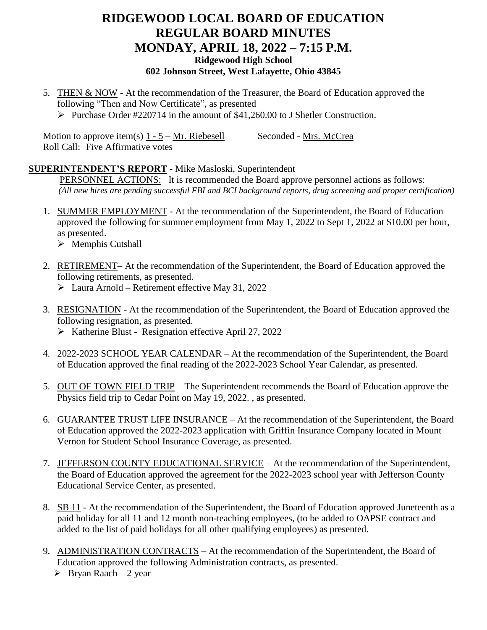## **RIDGEWOOD LOCAL BOARD OF EDUCATION REGULAR BOARD MINUTES MONDAY, APRIL 18, 2022 – 7:15 P.M. Ridgewood High School 602 Johnson Street, West Lafayette, Ohio 43845**

5. THEN & NOW - At the recommendation of the Treasurer, the Board of Education approved the following "Then and Now Certificate", as presented Purchase Order #220714 in the amount of \$41,260.00 to J Shetler Construction.

Motion to approve item(s)  $1 - 5 - Mr$ . Riebesell Seconded - Mrs. McCrea Roll Call: Five Affirmative votes

#### **SUPERINTENDENT'S REPORT** - Mike Masloski, Superintendent

PERSONNEL ACTIONS: It is recommended the Board approve personnel actions as follows: *(All new hires are pending successful FBI and BCI background reports, drug screening and proper certification)*

- 1. SUMMER EMPLOYMENT At the recommendation of the Superintendent, the Board of Education approved the following for summer employment from May 1, 2022 to Sept 1, 2022 at \$10.00 per hour, as presented.
	- $\triangleright$  Memphis Cutshall
- 2. RETIREMENT– At the recommendation of the Superintendent, the Board of Education approved the following retirements, as presented.
	- $\triangleright$  Laura Arnold Retirement effective May 31, 2022
- 3. RESIGNATION At the recommendation of the Superintendent, the Board of Education approved the following resignation, as presented.
	- $\triangleright$  Katherine Blust Resignation effective April 27, 2022
- 4. 2022-2023 SCHOOL YEAR CALENDAR At the recommendation of the Superintendent, the Board of Education approved the final reading of the 2022-2023 School Year Calendar, as presented.
- 5. OUT OF TOWN FIELD TRIP The Superintendent recommends the Board of Education approve the Physics field trip to Cedar Point on May 19, 2022. , as presented.
- 6. GUARANTEE TRUST LIFE INSURANCE At the recommendation of the Superintendent, the Board of Education approved the 2022-2023 application with Griffin Insurance Company located in Mount Vernon for Student School Insurance Coverage, as presented.
- 7. JEFFERSON COUNTY EDUCATIONAL SERVICE At the recommendation of the Superintendent, the Board of Education approved the agreement for the 2022-2023 school year with Jefferson County Educational Service Center, as presented.
- 8. SB 11 At the recommendation of the Superintendent, the Board of Education approved Juneteenth as a paid holiday for all 11 and 12 month non-teaching employees, (to be added to OAPSE contract and added to the list of paid holidays for all other qualifying employees) as presented.
- 9. ADMINISTRATION CONTRACTS At the recommendation of the Superintendent, the Board of Education approved the following Administration contracts, as presented.
	- $\triangleright$  Bryan Raach 2 year